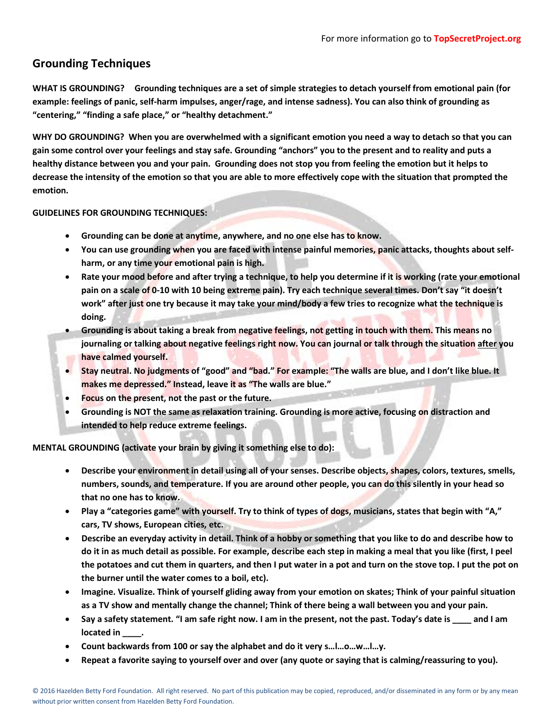# **Grounding Techniques**

**WHAT IS GROUNDING? Grounding techniques are a set of simple strategies to detach yourself from emotional pain (for example: feelings of panic, self-harm impulses, anger/rage, and intense sadness). You can also think of grounding as "centering," "finding a safe place," or "healthy detachment."** 

**WHY DO GROUNDING? When you are overwhelmed with a significant emotion you need a way to detach so that you can gain some control over your feelings and stay safe. Grounding "anchors" you to the present and to reality and puts a healthy distance between you and your pain. Grounding does not stop you from feeling the emotion but it helps to decrease the intensity of the emotion so that you are able to more effectively cope with the situation that prompted the emotion.** 

## **GUIDELINES FOR GROUNDING TECHNIQUES:**

- **Grounding can be done at anytime, anywhere, and no one else has to know.**
- **You can use grounding when you are faced with intense painful memories, panic attacks, thoughts about selfharm, or any time your emotional pain is high.**
- **Rate your mood before and after trying a technique, to help you determine if it is working (rate your emotional pain on a scale of 0-10 with 10 being extreme pain). Try each technique several times. Don't say "it doesn't work" after just one try because it may take your mind/body a few tries to recognize what the technique is doing.**
- **Grounding is about taking a break from negative feelings, not getting in touch with them. This means no journaling or talking about negative feelings right now. You can journal or talk through the situation after you have calmed yourself.**
- **Stay neutral. No judgments of "good" and "bad." For example: "The walls are blue, and I don't like blue. It makes me depressed." Instead, leave it as "The walls are blue."**
- **Focus on the present, not the past or the future.**
- **Grounding is NOT the same as relaxation training. Grounding is more active, focusing on distraction and intended to help reduce extreme feelings.**

**MENTAL GROUNDING (activate your brain by giving it something else to do):**

- **Describe your environment in detail using all of your senses. Describe objects, shapes, colors, textures, smells, numbers, sounds, and temperature. If you are around other people, you can do this silently in your head so that no one has to know.**
- **Play a "categories game" with yourself. Try to think of types of dogs, musicians, states that begin with "A," cars, TV shows, European cities, etc.**
- **Describe an everyday activity in detail. Think of a hobby or something that you like to do and describe how to do it in as much detail as possible. For example, describe each step in making a meal that you like (first, I peel the potatoes and cut them in quarters, and then I put water in a pot and turn on the stove top. I put the pot on the burner until the water comes to a boil, etc).**
- **Imagine. Visualize. Think of yourself gliding away from your emotion on skates; Think of your painful situation as a TV show and mentally change the channel; Think of there being a wall between you and your pain.**
- **Say a safety statement. "I am safe right now. I am in the present, not the past. Today's date is \_\_\_\_ and I am located in \_\_\_\_.**
- **Count backwards from 100 or say the alphabet and do it very s…l…o…w…l…y.**
- **Repeat a favorite saying to yourself over and over (any quote or saying that is calming/reassuring to you).**